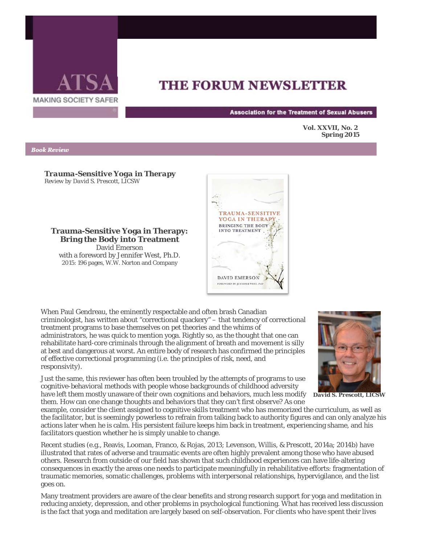

## **THE FORUM NEWSLETTER**

**Association for the Treatment of Sexual Abusers** 

**Vol. XXVII, No. 2 Spring 2015** 

## **Book Review**

*Trauma-Sensitive Yoga in Therapy Review by David S. Prescott, LICSW*

**Trauma-Sensitive Yoga in Therapy: Bring the Body into Treatment** David Emerson

with a foreword by Jennifer West, Ph.D. 2015: 196 pages, W.W. Norton and Company



When Paul Gendreau, the eminently respectable and often brash Canadian criminologist, has written about "correctional quackery" – that tendency of correctional treatment programs to base themselves on pet theories and the whims of administrators, he was quick to mention yoga. Rightly so, as the thought that one can rehabilitate hard-core criminals through the alignment of breath and movement is silly at best and dangerous at worst. An entire body of research has confirmed the principles of effective correctional programming (i.e. the principles of risk, need, and responsivity).



Just the same, this reviewer has often been troubled by the attempts of programs to use cognitive-behavioral methods with people whose backgrounds of childhood adversity

have left them mostly unaware of their own cognitions and behaviors, much less modify *David S. Prescott, LICSW*them. How can one change thoughts and behaviors that they can't first observe? As one

example, consider the client assigned to cognitive skills treatment who has memorized the curriculum, as well as the facilitator, but is seemingly powerless to refrain from talking back to authority figures and can only analyze his actions later when he is calm. His persistent failure keeps him back in treatment, experiencing shame, and his facilitators question whether he is simply unable to change.

Recent studies (e.g., Reavis, Looman, Franco, & Rojas, 2013; Levenson, Willis, & Prescott, 2014a; 2014b) have illustrated that rates of adverse and traumatic events are often highly prevalent among those who have abused others. Research from outside of our field has shown that such childhood experiences can have life-altering consequences in exactly the areas one needs to participate meaningfully in rehabilitative efforts: fragmentation of traumatic memories, somatic challenges, problems with interpersonal relationships, hypervigilance, and the list goes on.

Many treatment providers are aware of the clear benefits and strong research support for yoga and meditation in reducing anxiety, depression, and other problems in psychological functioning. What has received less discussion is the fact that yoga and meditation are largely based on self-observation. For clients who have spent their lives